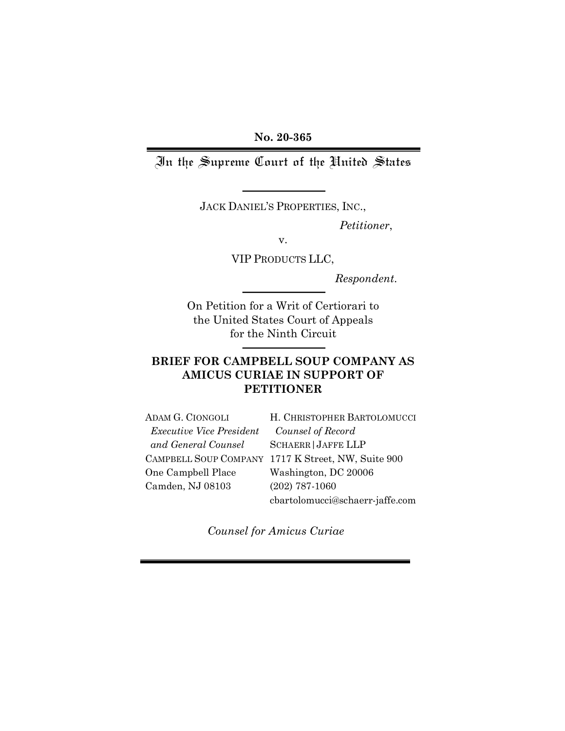**No. 20-365**

In the Supreme Court of the United States

JACK DANIEL'S PROPERTIES, INC.,

*Petitioner*,

v.

VIP PRODUCTS LLC,

*Respondent*.

On Petition for a Writ of Certiorari to the United States Court of Appeals for the Ninth Circuit

## **BRIEF FOR CAMPBELL SOUP COMPANY AS AMICUS CURIAE IN SUPPORT OF PETITIONER**

| ADAM G. CIONGOLI                | H. CHRISTOPHER BARTOLOMUCCI                        |
|---------------------------------|----------------------------------------------------|
| <i>Executive Vice President</i> | Counsel of Record                                  |
| and General Counsel             | <b>SCHAERR JAFFE LLP</b>                           |
|                                 | CAMPBELL SOUP COMPANY 1717 K Street, NW, Suite 900 |
| One Campbell Place              | Washington, DC 20006                               |
| Camden, NJ 08103                | $(202)$ 787-1060                                   |
|                                 | cbartolomucci@schaerr-jaffe.com                    |

*Counsel for Amicus Curiae*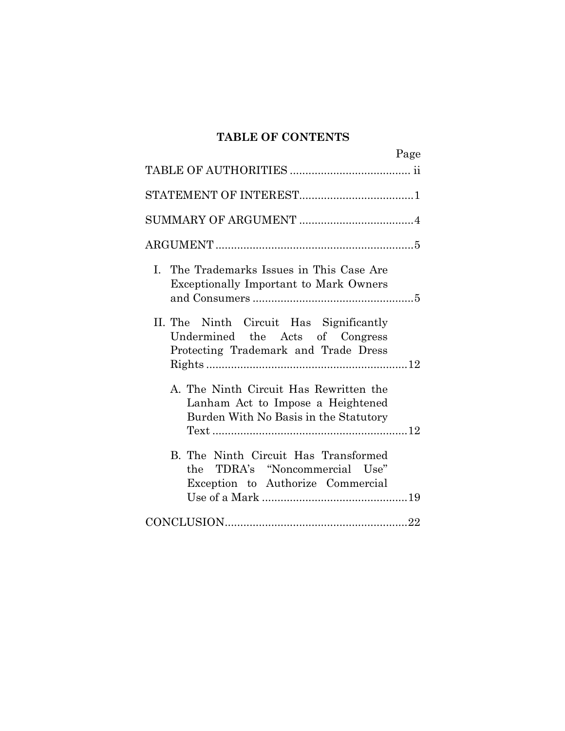# **TABLE OF CONTENTS**

|                                                                                                                      | Page |
|----------------------------------------------------------------------------------------------------------------------|------|
|                                                                                                                      |      |
|                                                                                                                      |      |
|                                                                                                                      |      |
|                                                                                                                      |      |
| I. The Trademarks Issues in This Case Are<br><b>Exceptionally Important to Mark Owners</b>                           |      |
| II. The Ninth Circuit Has Significantly<br>Undermined the Acts of Congress<br>Protecting Trademark and Trade Dress   |      |
| A. The Ninth Circuit Has Rewritten the<br>Lanham Act to Impose a Heightened<br>Burden With No Basis in the Statutory |      |
| B. The Ninth Circuit Has Transformed<br>TDRA's "Noncommercial Use"<br>the.<br>Exception to Authorize Commercial      |      |
|                                                                                                                      |      |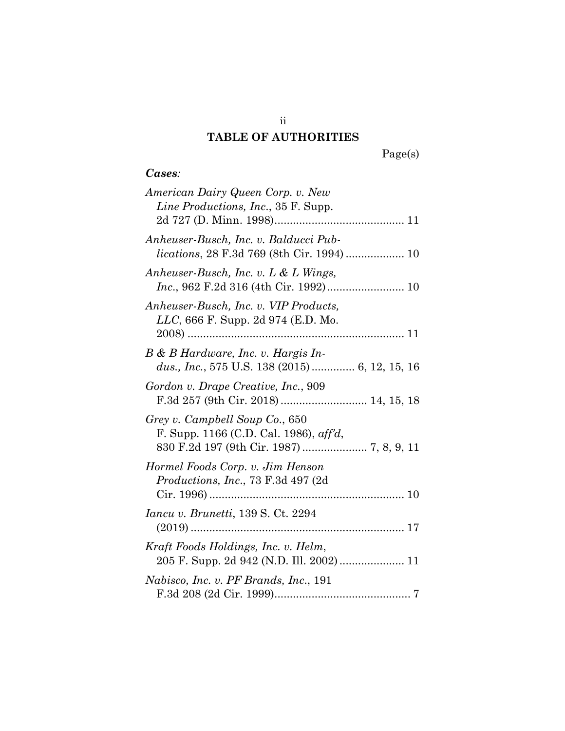# **TABLE OF AUTHORITIES**

## *Cases:*

| American Dairy Queen Corp. v. New<br><i>Line Productions, Inc., 35 F. Supp.</i>     |
|-------------------------------------------------------------------------------------|
| Anheuser-Busch, Inc. v. Balducci Pub-                                               |
| Anheuser-Busch, Inc. v. L & L Wings,                                                |
| Anheuser-Busch, Inc. v. VIP Products,<br><i>LLC</i> , 666 F. Supp. 2d 974 (E.D. Mo. |
| B & B Hardware, Inc. v. Hargis In-<br>dus., Inc., 575 U.S. 138 (2015) 6, 12, 15, 16 |
| Gordon v. Drape Creative, Inc., 909<br>F.3d 257 (9th Cir. 2018)  14, 15, 18         |
| Grey v. Campbell Soup Co., 650<br>F. Supp. 1166 (C.D. Cal. 1986), $\alpha f/d$ ,    |
| Hormel Foods Corp. v. Jim Henson<br><i>Productions, Inc., 73 F.3d 497 (2d)</i>      |
| <i>Iancu v. Brunetti, 139 S. Ct. 2294</i>                                           |
| Kraft Foods Holdings, Inc. v. Helm,<br>205 F. Supp. 2d 942 (N.D. Ill. 2002) 11      |
| Nabisco, Inc. v. PF Brands, Inc., 191                                               |

ii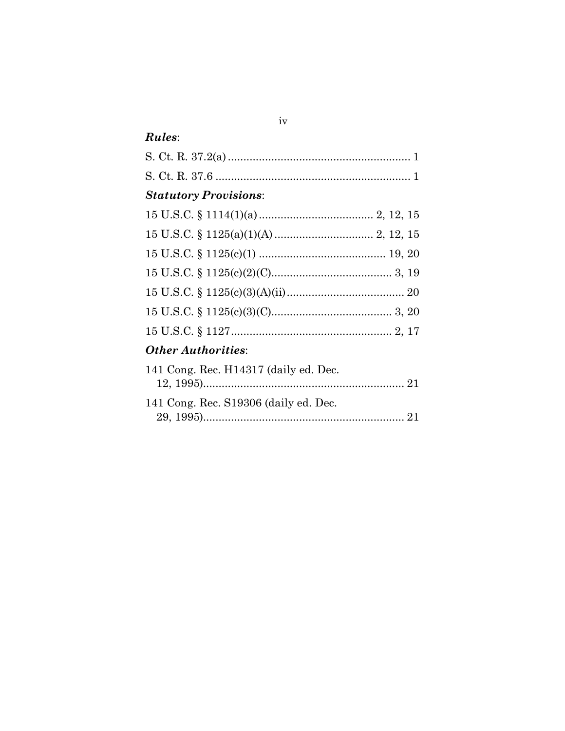# Rules:

| <b>Statutory Provisions:</b>          |  |
|---------------------------------------|--|
|                                       |  |
|                                       |  |
|                                       |  |
|                                       |  |
|                                       |  |
|                                       |  |
|                                       |  |
| <b>Other Authorities:</b>             |  |
| 141 Cong. Rec. H14317 (daily ed. Dec. |  |
| 141 Cong. Rec. S19306 (daily ed. Dec. |  |
|                                       |  |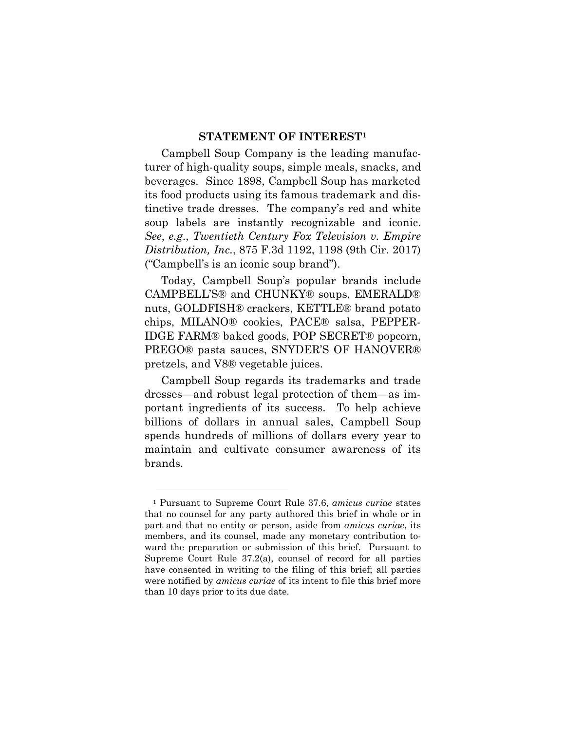### **STATEMENT OF INTEREST1**

Campbell Soup Company is the leading manufacturer of high-quality soups, simple meals, snacks, and beverages. Since 1898, Campbell Soup has marketed its food products using its famous trademark and distinctive trade dresses. The company's red and white soup labels are instantly recognizable and iconic. *See*, *e.g*., *Twentieth Century Fox Television v. Empire Distribution, Inc.*, 875 F.3d 1192, 1198 (9th Cir. 2017) ("Campbell's is an iconic soup brand").

Today, Campbell Soup's popular brands include CAMPBELL'S® and CHUNKY® soups, EMERALD® nuts, GOLDFISH® crackers, KETTLE® brand potato chips, MILANO® cookies, PACE® salsa, PEPPER-IDGE FARM® baked goods, POP SECRET® popcorn, PREGO® pasta sauces, SNYDER'S OF HANOVER® pretzels, and V8® vegetable juices.

Campbell Soup regards its trademarks and trade dresses—and robust legal protection of them—as important ingredients of its success. To help achieve billions of dollars in annual sales, Campbell Soup spends hundreds of millions of dollars every year to maintain and cultivate consumer awareness of its brands.

<sup>1</sup> Pursuant to Supreme Court Rule 37.6, *amicus curiae* states that no counsel for any party authored this brief in whole or in part and that no entity or person, aside from *amicus curiae*, its members, and its counsel, made any monetary contribution toward the preparation or submission of this brief. Pursuant to Supreme Court Rule 37.2(a), counsel of record for all parties have consented in writing to the filing of this brief; all parties were notified by *amicus curiae* of its intent to file this brief more than 10 days prior to its due date.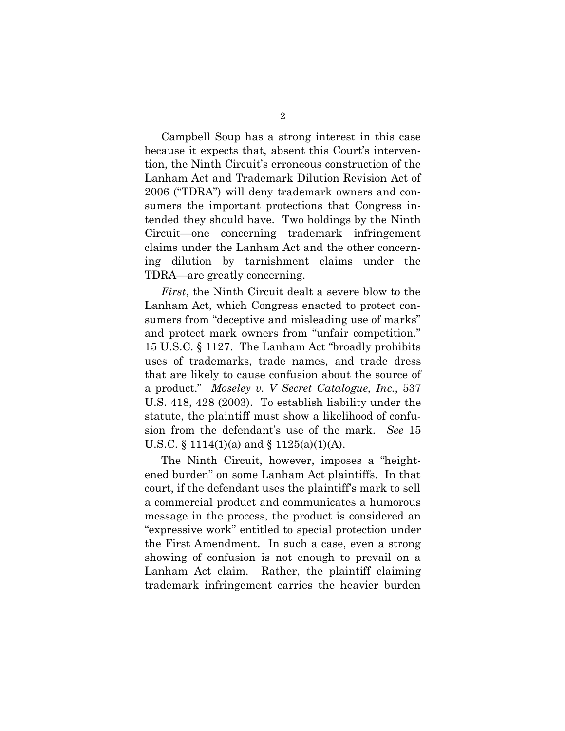Campbell Soup has a strong interest in this case because it expects that, absent this Court's intervention, the Ninth Circuit's erroneous construction of the Lanham Act and Trademark Dilution Revision Act of 2006 ("TDRA") will deny trademark owners and consumers the important protections that Congress intended they should have. Two holdings by the Ninth Circuit—one concerning trademark infringement claims under the Lanham Act and the other concerning dilution by tarnishment claims under the TDRA—are greatly concerning.

*First*, the Ninth Circuit dealt a severe blow to the Lanham Act, which Congress enacted to protect consumers from "deceptive and misleading use of marks" and protect mark owners from "unfair competition." 15 U.S.C. § 1127. The Lanham Act "broadly prohibits uses of trademarks, trade names, and trade dress that are likely to cause confusion about the source of a product." *Moseley v. V Secret Catalogue, Inc.*, 537 U.S. 418, 428 (2003). To establish liability under the statute, the plaintiff must show a likelihood of confusion from the defendant's use of the mark. *See* 15 U.S.C. § 1114(1)(a) and § 1125(a)(1)(A).

The Ninth Circuit, however, imposes a "heightened burden" on some Lanham Act plaintiffs. In that court, if the defendant uses the plaintiff's mark to sell a commercial product and communicates a humorous message in the process, the product is considered an "expressive work" entitled to special protection under the First Amendment. In such a case, even a strong showing of confusion is not enough to prevail on a Lanham Act claim. Rather, the plaintiff claiming trademark infringement carries the heavier burden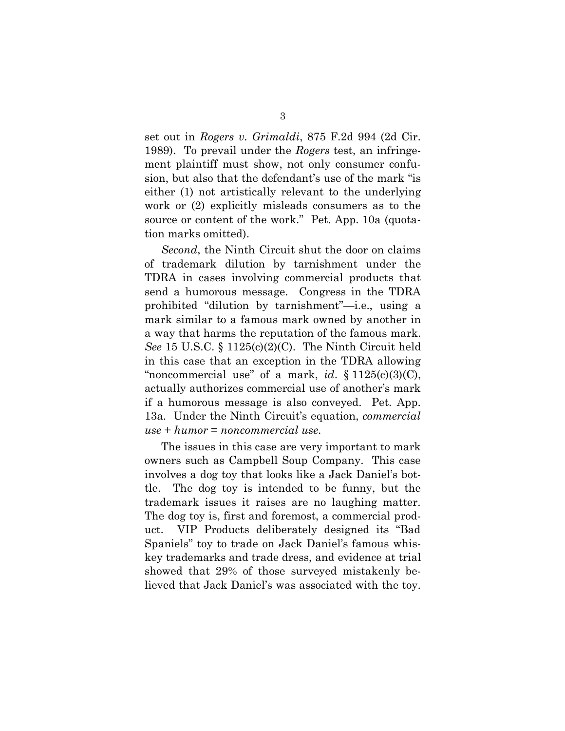set out in *Rogers v. Grimaldi*, 875 F.2d 994 (2d Cir. 1989). To prevail under the *Rogers* test, an infringement plaintiff must show, not only consumer confusion, but also that the defendant's use of the mark "is either (1) not artistically relevant to the underlying work or (2) explicitly misleads consumers as to the source or content of the work." Pet. App. 10a (quotation marks omitted).

*Second*, the Ninth Circuit shut the door on claims of trademark dilution by tarnishment under the TDRA in cases involving commercial products that send a humorous message. Congress in the TDRA prohibited "dilution by tarnishment"—i.e., using a mark similar to a famous mark owned by another in a way that harms the reputation of the famous mark. *See* 15 U.S.C. § 1125(c)(2)(C). The Ninth Circuit held in this case that an exception in the TDRA allowing "noncommercial use" of a mark, *id*. § 1125(c)(3)(C), actually authorizes commercial use of another's mark if a humorous message is also conveyed. Pet. App. 13a. Under the Ninth Circuit's equation, *commercial use* + *humor* = *noncommercial use*.

The issues in this case are very important to mark owners such as Campbell Soup Company. This case involves a dog toy that looks like a Jack Daniel's bottle. The dog toy is intended to be funny, but the trademark issues it raises are no laughing matter. The dog toy is, first and foremost, a commercial product. VIP Products deliberately designed its "Bad Spaniels" toy to trade on Jack Daniel's famous whiskey trademarks and trade dress, and evidence at trial showed that 29% of those surveyed mistakenly believed that Jack Daniel's was associated with the toy.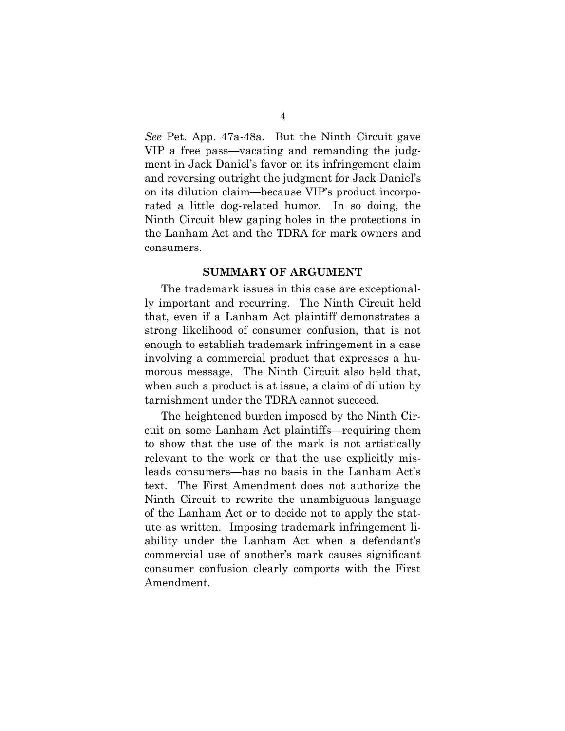*See* Pet. App. 47a-48a. But the Ninth Circuit gave VIP a free pass—vacating and remanding the judgment in Jack Daniel's favor on its infringement claim and reversing outright the judgment for Jack Daniel's on its dilution claim—because VIP's product incorporated a little dog-related humor. In so doing, the Ninth Circuit blew gaping holes in the protections in the Lanham Act and the TDRA for mark owners and consumers.

#### **SUMMARY OF ARGUMENT**

The trademark issues in this case are exceptionally important and recurring. The Ninth Circuit held that, even if a Lanham Act plaintiff demonstrates a strong likelihood of consumer confusion, that is not enough to establish trademark infringement in a case involving a commercial product that expresses a humorous message. The Ninth Circuit also held that, when such a product is at issue, a claim of dilution by tarnishment under the TDRA cannot succeed.

The heightened burden imposed by the Ninth Circuit on some Lanham Act plaintiffs—requiring them to show that the use of the mark is not artistically relevant to the work or that the use explicitly misleads consumers—has no basis in the Lanham Act's text. The First Amendment does not authorize the Ninth Circuit to rewrite the unambiguous language of the Lanham Act or to decide not to apply the statute as written. Imposing trademark infringement liability under the Lanham Act when a defendant's commercial use of another's mark causes significant consumer confusion clearly comports with the First Amendment.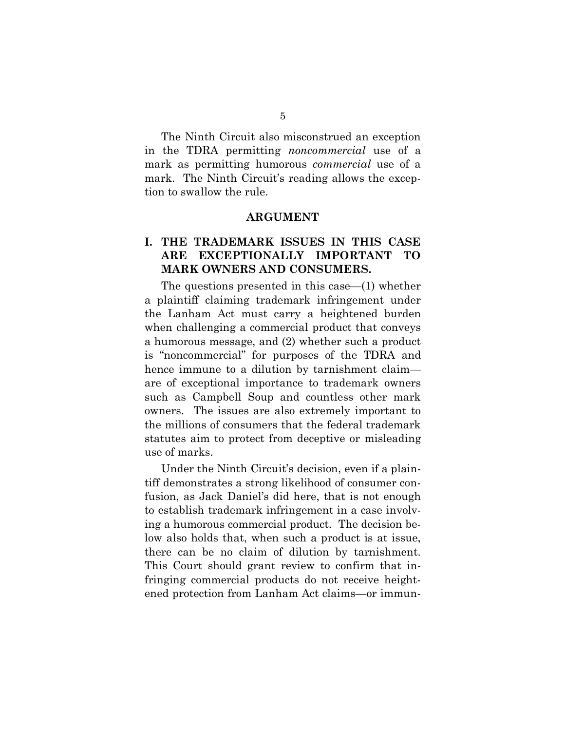The Ninth Circuit also misconstrued an exception in the TDRA permitting *noncommercial* use of a mark as permitting humorous *commercial* use of a mark. The Ninth Circuit's reading allows the exception to swallow the rule.

#### **ARGUMENT**

### **I. THE TRADEMARK ISSUES IN THIS CASE ARE EXCEPTIONALLY IMPORTANT TO MARK OWNERS AND CONSUMERS.**

The questions presented in this case—(1) whether a plaintiff claiming trademark infringement under the Lanham Act must carry a heightened burden when challenging a commercial product that conveys a humorous message, and (2) whether such a product is "noncommercial" for purposes of the TDRA and hence immune to a dilution by tarnishment claim are of exceptional importance to trademark owners such as Campbell Soup and countless other mark owners. The issues are also extremely important to the millions of consumers that the federal trademark statutes aim to protect from deceptive or misleading use of marks.

Under the Ninth Circuit's decision, even if a plaintiff demonstrates a strong likelihood of consumer confusion, as Jack Daniel's did here, that is not enough to establish trademark infringement in a case involving a humorous commercial product. The decision below also holds that, when such a product is at issue, there can be no claim of dilution by tarnishment. This Court should grant review to confirm that infringing commercial products do not receive heightened protection from Lanham Act claims—or immun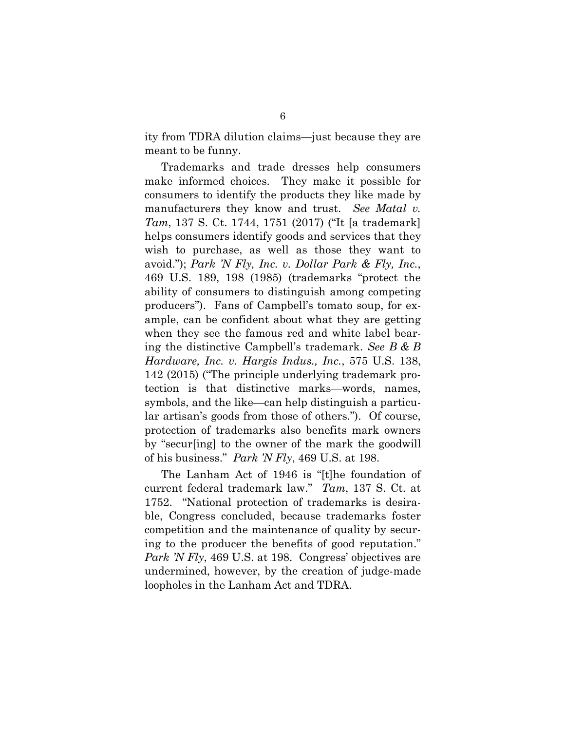ity from TDRA dilution claims—just because they are meant to be funny.

Trademarks and trade dresses help consumers make informed choices. They make it possible for consumers to identify the products they like made by manufacturers they know and trust. *See Matal v. Tam*, 137 S. Ct. 1744, 1751 (2017) ("It [a trademark] helps consumers identify goods and services that they wish to purchase, as well as those they want to avoid."); *Park 'N Fly, Inc. v. Dollar Park & Fly, Inc.*, 469 U.S. 189, 198 (1985) (trademarks "protect the ability of consumers to distinguish among competing producers"). Fans of Campbell's tomato soup, for example, can be confident about what they are getting when they see the famous red and white label bearing the distinctive Campbell's trademark. *See B & B Hardware, Inc. v. Hargis Indus., Inc.*, 575 U.S. 138, 142 (2015) ("The principle underlying trademark protection is that distinctive marks—words, names, symbols, and the like—can help distinguish a particular artisan's goods from those of others."). Of course, protection of trademarks also benefits mark owners by "secur[ing] to the owner of the mark the goodwill of his business." *Park 'N Fly*, 469 U.S. at 198.

The Lanham Act of 1946 is "[t]he foundation of current federal trademark law." *Tam*, 137 S. Ct. at 1752. "National protection of trademarks is desirable, Congress concluded, because trademarks foster competition and the maintenance of quality by securing to the producer the benefits of good reputation." *Park 'N Fly*, 469 U.S. at 198. Congress' objectives are undermined, however, by the creation of judge-made loopholes in the Lanham Act and TDRA.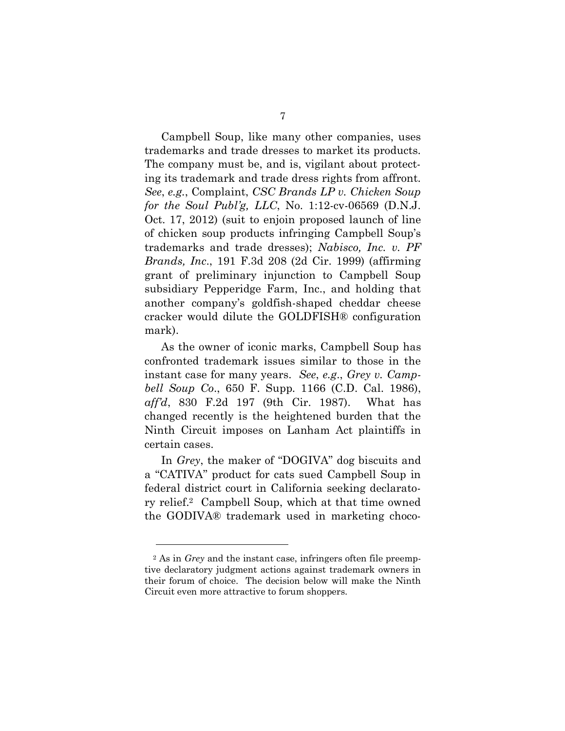Campbell Soup, like many other companies, uses trademarks and trade dresses to market its products. The company must be, and is, vigilant about protecting its trademark and trade dress rights from affront. *See*, *e.g.*, Complaint, *CSC Brands LP v. Chicken Soup for the Soul Publ'g, LLC*, No. 1:12-cv-06569 (D.N.J. Oct. 17, 2012) (suit to enjoin proposed launch of line of chicken soup products infringing Campbell Soup's trademarks and trade dresses); *Nabisco, Inc. v. PF Brands, Inc*., 191 F.3d 208 (2d Cir. 1999) (affirming grant of preliminary injunction to Campbell Soup subsidiary Pepperidge Farm, Inc., and holding that another company's goldfish-shaped cheddar cheese cracker would dilute the GOLDFISH® configuration mark).

As the owner of iconic marks, Campbell Soup has confronted trademark issues similar to those in the instant case for many years. *See*, *e.g*., *Grey v. Campbell Soup Co*., 650 F. Supp. 1166 (C.D. Cal. 1986), *aff'd*, 830 F.2d 197 (9th Cir. 1987). What has changed recently is the heightened burden that the Ninth Circuit imposes on Lanham Act plaintiffs in certain cases.

In *Grey*, the maker of "DOGIVA" dog biscuits and a "CATIVA" product for cats sued Campbell Soup in federal district court in California seeking declaratory relief.2 Campbell Soup, which at that time owned the GODIVA® trademark used in marketing choco-

<sup>2</sup> As in *Grey* and the instant case, infringers often file preemptive declaratory judgment actions against trademark owners in their forum of choice. The decision below will make the Ninth Circuit even more attractive to forum shoppers.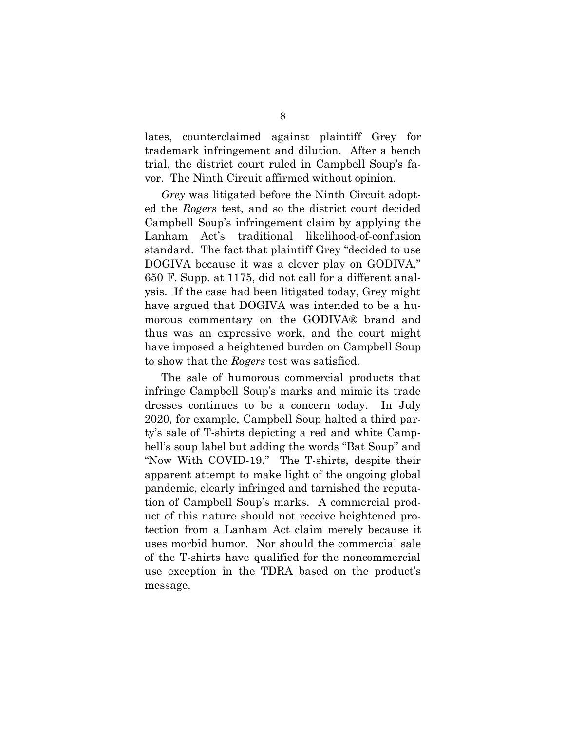lates, counterclaimed against plaintiff Grey for trademark infringement and dilution. After a bench trial, the district court ruled in Campbell Soup's favor. The Ninth Circuit affirmed without opinion.

*Grey* was litigated before the Ninth Circuit adopted the *Rogers* test, and so the district court decided Campbell Soup's infringement claim by applying the Lanham Act's traditional likelihood-of-confusion standard. The fact that plaintiff Grey "decided to use DOGIVA because it was a clever play on GODIVA," 650 F. Supp. at 1175, did not call for a different analysis. If the case had been litigated today, Grey might have argued that DOGIVA was intended to be a humorous commentary on the GODIVA® brand and thus was an expressive work, and the court might have imposed a heightened burden on Campbell Soup to show that the *Rogers* test was satisfied.

The sale of humorous commercial products that infringe Campbell Soup's marks and mimic its trade dresses continues to be a concern today. In July 2020, for example, Campbell Soup halted a third party's sale of T-shirts depicting a red and white Campbell's soup label but adding the words "Bat Soup" and "Now With COVID-19." The T-shirts, despite their apparent attempt to make light of the ongoing global pandemic, clearly infringed and tarnished the reputation of Campbell Soup's marks. A commercial product of this nature should not receive heightened protection from a Lanham Act claim merely because it uses morbid humor. Nor should the commercial sale of the T-shirts have qualified for the noncommercial use exception in the TDRA based on the product's message.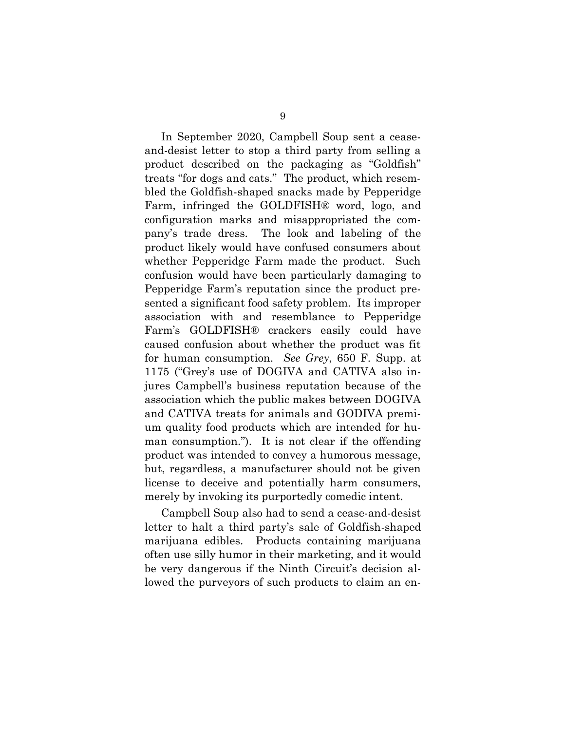In September 2020, Campbell Soup sent a ceaseand-desist letter to stop a third party from selling a product described on the packaging as "Goldfish" treats "for dogs and cats." The product, which resembled the Goldfish-shaped snacks made by Pepperidge Farm, infringed the GOLDFISH® word, logo, and configuration marks and misappropriated the company's trade dress. The look and labeling of the product likely would have confused consumers about whether Pepperidge Farm made the product. Such confusion would have been particularly damaging to Pepperidge Farm's reputation since the product presented a significant food safety problem. Its improper association with and resemblance to Pepperidge Farm's GOLDFISH® crackers easily could have caused confusion about whether the product was fit for human consumption. *See Grey*, 650 F. Supp. at 1175 ("Grey's use of DOGIVA and CATIVA also injures Campbell's business reputation because of the association which the public makes between DOGIVA and CATIVA treats for animals and GODIVA premium quality food products which are intended for human consumption."). It is not clear if the offending product was intended to convey a humorous message, but, regardless, a manufacturer should not be given license to deceive and potentially harm consumers, merely by invoking its purportedly comedic intent.

Campbell Soup also had to send a cease-and-desist letter to halt a third party's sale of Goldfish-shaped marijuana edibles. Products containing marijuana often use silly humor in their marketing, and it would be very dangerous if the Ninth Circuit's decision allowed the purveyors of such products to claim an en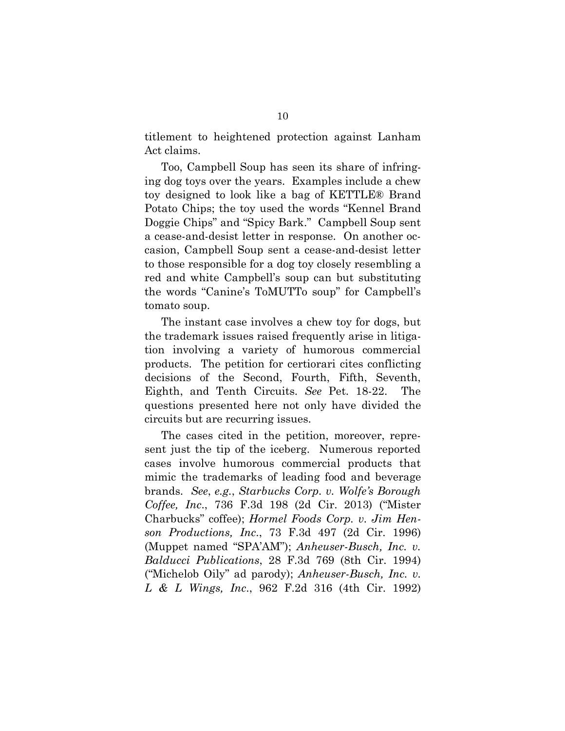titlement to heightened protection against Lanham Act claims.

Too, Campbell Soup has seen its share of infringing dog toys over the years. Examples include a chew toy designed to look like a bag of KETTLE® Brand Potato Chips; the toy used the words "Kennel Brand Doggie Chips" and "Spicy Bark." Campbell Soup sent a cease-and-desist letter in response. On another occasion, Campbell Soup sent a cease-and-desist letter to those responsible for a dog toy closely resembling a red and white Campbell's soup can but substituting the words "Canine's ToMUTTo soup" for Campbell's tomato soup.

The instant case involves a chew toy for dogs, but the trademark issues raised frequently arise in litigation involving a variety of humorous commercial products. The petition for certiorari cites conflicting decisions of the Second, Fourth, Fifth, Seventh, Eighth, and Tenth Circuits. *See* Pet. 18-22. The questions presented here not only have divided the circuits but are recurring issues.

The cases cited in the petition, moreover, represent just the tip of the iceberg. Numerous reported cases involve humorous commercial products that mimic the trademarks of leading food and beverage brands. *See*, *e.g.*, *Starbucks Corp. v. Wolfe's Borough Coffee, Inc*., 736 F.3d 198 (2d Cir. 2013) ("Mister Charbucks" coffee); *Hormel Foods Corp. v. Jim Henson Productions, Inc*., 73 F.3d 497 (2d Cir. 1996) (Muppet named "SPA'AM"); *Anheuser-Busch, Inc. v. Balducci Publications*, 28 F.3d 769 (8th Cir. 1994) ("Michelob Oily" ad parody); *Anheuser-Busch, Inc. v. L & L Wings, Inc*., 962 F.2d 316 (4th Cir. 1992)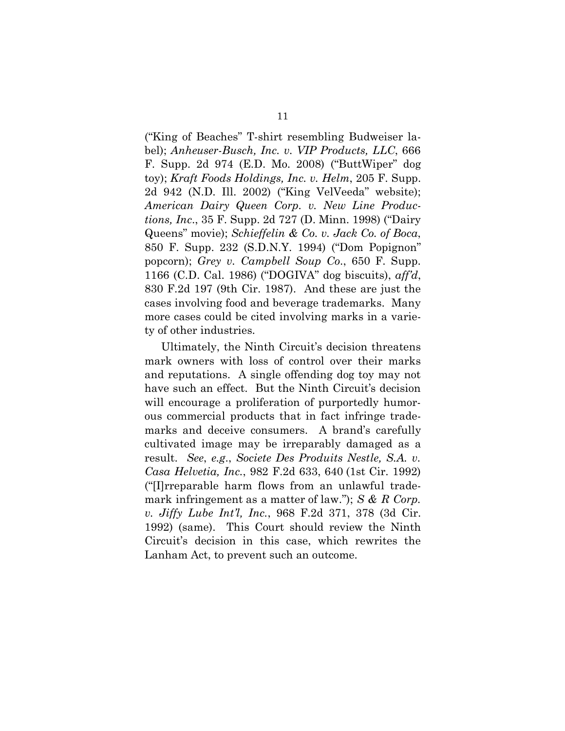("King of Beaches" T-shirt resembling Budweiser label); *Anheuser-Busch, Inc. v. VIP Products, LLC*, 666 F. Supp. 2d 974 (E.D. Mo. 2008) ("ButtWiper" dog toy); *Kraft Foods Holdings, Inc. v. Helm*, 205 F. Supp. 2d 942 (N.D. Ill. 2002) ("King VelVeeda" website); *American Dairy Queen Corp. v. New Line Productions, Inc*., 35 F. Supp. 2d 727 (D. Minn. 1998) ("Dairy Queens" movie); *Schieffelin & Co. v. Jack Co. of Boca*, 850 F. Supp. 232 (S.D.N.Y. 1994) ("Dom Popignon" popcorn); *Grey v. Campbell Soup Co*., 650 F. Supp. 1166 (C.D. Cal. 1986) ("DOGIVA" dog biscuits), *aff'd*, 830 F.2d 197 (9th Cir. 1987). And these are just the cases involving food and beverage trademarks. Many more cases could be cited involving marks in a variety of other industries.

Ultimately, the Ninth Circuit's decision threatens mark owners with loss of control over their marks and reputations. A single offending dog toy may not have such an effect. But the Ninth Circuit's decision will encourage a proliferation of purportedly humorous commercial products that in fact infringe trademarks and deceive consumers. A brand's carefully cultivated image may be irreparably damaged as a result. *See*, *e.g*., *Societe Des Produits Nestle, S.A. v. Casa Helvetia, Inc.*, 982 F.2d 633, 640 (1st Cir. 1992) ("[I]rreparable harm flows from an unlawful trademark infringement as a matter of law."); *S & R Corp. v. Jiffy Lube Int'l, Inc.*, 968 F.2d 371, 378 (3d Cir. 1992) (same). This Court should review the Ninth Circuit's decision in this case, which rewrites the Lanham Act, to prevent such an outcome.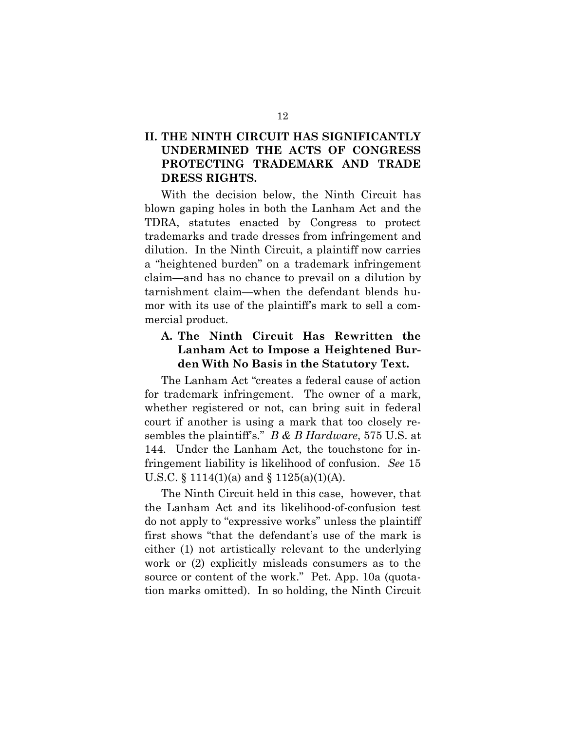## **II. THE NINTH CIRCUIT HAS SIGNIFICANTLY UNDERMINED THE ACTS OF CONGRESS PROTECTING TRADEMARK AND TRADE DRESS RIGHTS.**

With the decision below, the Ninth Circuit has blown gaping holes in both the Lanham Act and the TDRA, statutes enacted by Congress to protect trademarks and trade dresses from infringement and dilution. In the Ninth Circuit, a plaintiff now carries a "heightened burden" on a trademark infringement claim—and has no chance to prevail on a dilution by tarnishment claim—when the defendant blends humor with its use of the plaintiff's mark to sell a commercial product.

### **A. The Ninth Circuit Has Rewritten the Lanham Act to Impose a Heightened Burden With No Basis in the Statutory Text.**

The Lanham Act "creates a federal cause of action for trademark infringement. The owner of a mark, whether registered or not, can bring suit in federal court if another is using a mark that too closely resembles the plaintiff's." *B & B Hardware*, 575 U.S. at 144. Under the Lanham Act, the touchstone for infringement liability is likelihood of confusion. *See* 15 U.S.C. § 1114(1)(a) and § 1125(a)(1)(A).

The Ninth Circuit held in this case, however, that the Lanham Act and its likelihood-of-confusion test do not apply to "expressive works" unless the plaintiff first shows "that the defendant's use of the mark is either (1) not artistically relevant to the underlying work or (2) explicitly misleads consumers as to the source or content of the work." Pet. App. 10a (quotation marks omitted). In so holding, the Ninth Circuit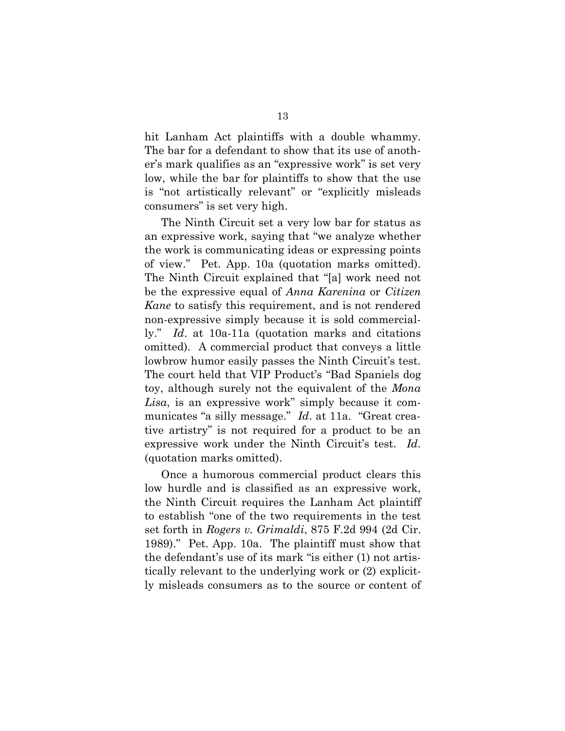hit Lanham Act plaintiffs with a double whammy. The bar for a defendant to show that its use of another's mark qualifies as an "expressive work" is set very low, while the bar for plaintiffs to show that the use is "not artistically relevant" or "explicitly misleads consumers" is set very high.

The Ninth Circuit set a very low bar for status as an expressive work, saying that "we analyze whether the work is communicating ideas or expressing points of view." Pet. App. 10a (quotation marks omitted). The Ninth Circuit explained that "[a] work need not be the expressive equal of *Anna Karenina* or *Citizen Kane* to satisfy this requirement, and is not rendered non-expressive simply because it is sold commercially." *Id*. at 10a-11a (quotation marks and citations omitted). A commercial product that conveys a little lowbrow humor easily passes the Ninth Circuit's test. The court held that VIP Product's "Bad Spaniels dog toy, although surely not the equivalent of the *Mona Lisa*, is an expressive work" simply because it communicates "a silly message." *Id*. at 11a. "Great creative artistry" is not required for a product to be an expressive work under the Ninth Circuit's test. *Id*. (quotation marks omitted).

Once a humorous commercial product clears this low hurdle and is classified as an expressive work, the Ninth Circuit requires the Lanham Act plaintiff to establish "one of the two requirements in the test set forth in *Rogers v. Grimaldi*, 875 F.2d 994 (2d Cir. 1989)." Pet. App. 10a. The plaintiff must show that the defendant's use of its mark "is either (1) not artistically relevant to the underlying work or (2) explicitly misleads consumers as to the source or content of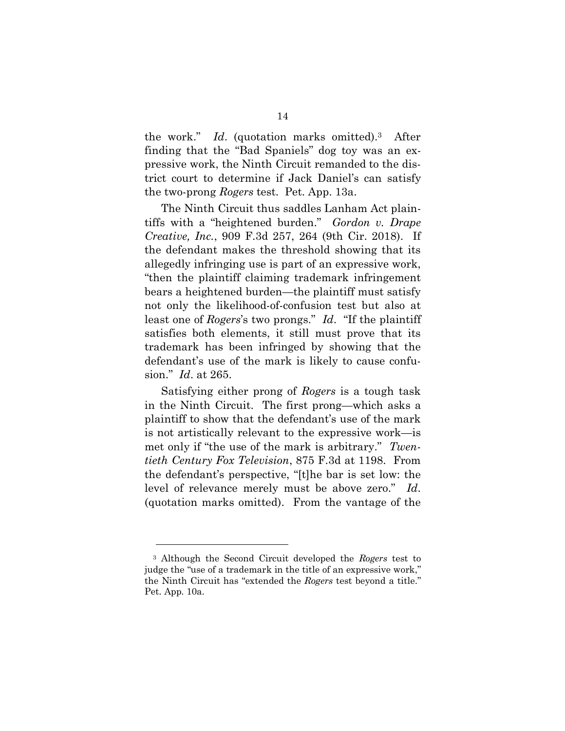the work." *Id*. (quotation marks omitted).3 After finding that the "Bad Spaniels" dog toy was an expressive work, the Ninth Circuit remanded to the district court to determine if Jack Daniel's can satisfy the two-prong *Rogers* test. Pet. App. 13a.

The Ninth Circuit thus saddles Lanham Act plaintiffs with a "heightened burden." *Gordon v. Drape Creative, Inc.*, 909 F.3d 257, 264 (9th Cir. 2018). If the defendant makes the threshold showing that its allegedly infringing use is part of an expressive work, "then the plaintiff claiming trademark infringement bears a heightened burden—the plaintiff must satisfy not only the likelihood-of-confusion test but also at least one of *Rogers*'s two prongs." *Id*. "If the plaintiff satisfies both elements, it still must prove that its trademark has been infringed by showing that the defendant's use of the mark is likely to cause confusion." *Id*. at 265.

Satisfying either prong of *Rogers* is a tough task in the Ninth Circuit. The first prong—which asks a plaintiff to show that the defendant's use of the mark is not artistically relevant to the expressive work—is met only if "the use of the mark is arbitrary." *Twentieth Century Fox Television*, 875 F.3d at 1198. From the defendant's perspective, "[t]he bar is set low: the level of relevance merely must be above zero." *Id*. (quotation marks omitted). From the vantage of the

<sup>3</sup> Although the Second Circuit developed the *Rogers* test to judge the "use of a trademark in the title of an expressive work," the Ninth Circuit has "extended the *Rogers* test beyond a title." Pet. App. 10a.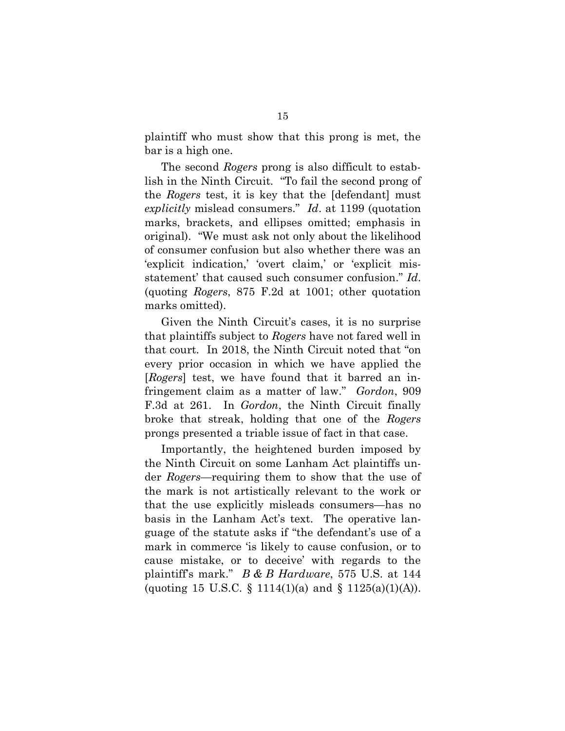plaintiff who must show that this prong is met, the bar is a high one.

The second *Rogers* prong is also difficult to establish in the Ninth Circuit. "To fail the second prong of the *Rogers* test, it is key that the [defendant] must *explicitly* mislead consumers." *Id*. at 1199 (quotation marks, brackets, and ellipses omitted; emphasis in original). "We must ask not only about the likelihood of consumer confusion but also whether there was an 'explicit indication,' 'overt claim,' or 'explicit misstatement' that caused such consumer confusion." *Id*. (quoting *Rogers*, 875 F.2d at 1001; other quotation marks omitted).

Given the Ninth Circuit's cases, it is no surprise that plaintiffs subject to *Rogers* have not fared well in that court. In 2018, the Ninth Circuit noted that "on every prior occasion in which we have applied the [*Rogers*] test, we have found that it barred an infringement claim as a matter of law." *Gordon*, 909 F.3d at 261. In *Gordon*, the Ninth Circuit finally broke that streak, holding that one of the *Rogers* prongs presented a triable issue of fact in that case.

Importantly, the heightened burden imposed by the Ninth Circuit on some Lanham Act plaintiffs under *Rogers*—requiring them to show that the use of the mark is not artistically relevant to the work or that the use explicitly misleads consumers—has no basis in the Lanham Act's text. The operative language of the statute asks if "the defendant's use of a mark in commerce 'is likely to cause confusion, or to cause mistake, or to deceive' with regards to the plaintiff's mark." *B & B Hardware*, 575 U.S. at 144 (quoting 15 U.S.C. § 1114(1)(a) and § 1125(a)(1)(A)).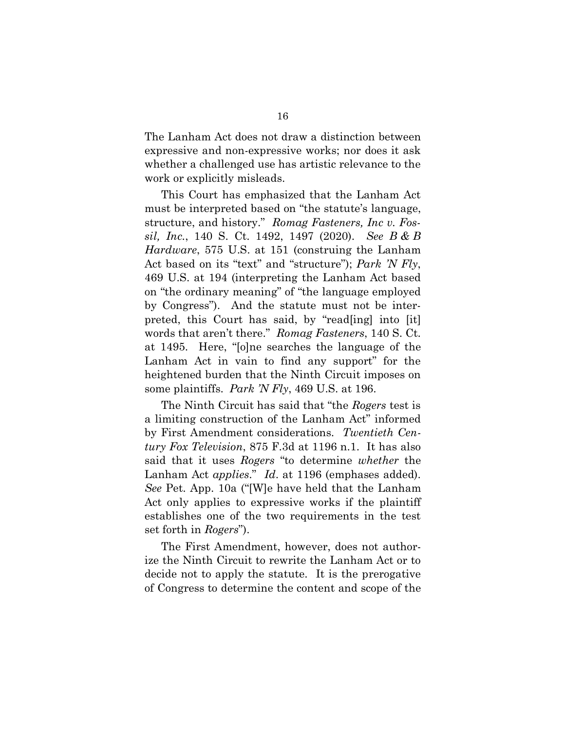The Lanham Act does not draw a distinction between expressive and non-expressive works; nor does it ask whether a challenged use has artistic relevance to the work or explicitly misleads.

This Court has emphasized that the Lanham Act must be interpreted based on "the statute's language, structure, and history." *Romag Fasteners, Inc v. Fossil, Inc.*, 140 S. Ct. 1492, 1497 (2020). *See B & B Hardware*, 575 U.S. at 151 (construing the Lanham Act based on its "text" and "structure"); *Park 'N Fly*, 469 U.S. at 194 (interpreting the Lanham Act based on "the ordinary meaning" of "the language employed by Congress"). And the statute must not be interpreted, this Court has said, by "read[ing] into [it] words that aren't there." *Romag Fasteners*, 140 S. Ct. at 1495. Here, "[o]ne searches the language of the Lanham Act in vain to find any support" for the heightened burden that the Ninth Circuit imposes on some plaintiffs. *Park 'N Fly*, 469 U.S. at 196.

The Ninth Circuit has said that "the *Rogers* test is a limiting construction of the Lanham Act" informed by First Amendment considerations. *Twentieth Century Fox Television*, 875 F.3d at 1196 n.1. It has also said that it uses *Rogers* "to determine *whether* the Lanham Act *applies*." *Id*. at 1196 (emphases added). *See* Pet. App. 10a ("[W]e have held that the Lanham Act only applies to expressive works if the plaintiff establishes one of the two requirements in the test set forth in *Rogers*").

The First Amendment, however, does not authorize the Ninth Circuit to rewrite the Lanham Act or to decide not to apply the statute. It is the prerogative of Congress to determine the content and scope of the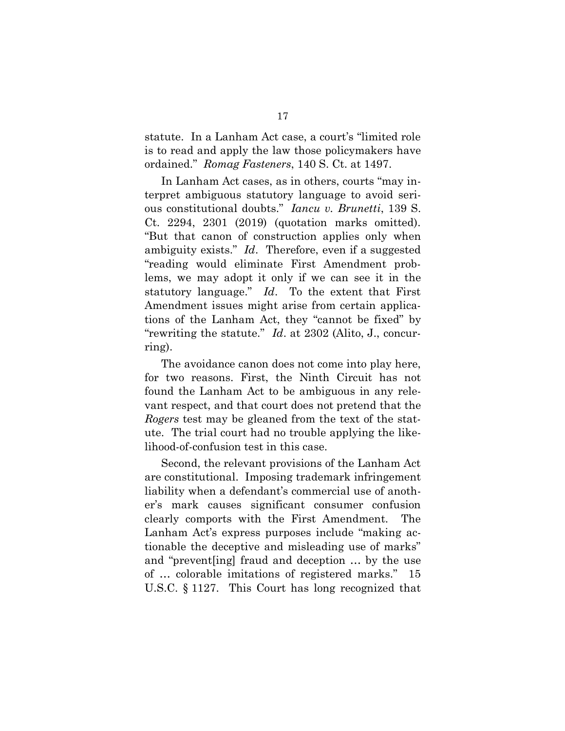statute. In a Lanham Act case, a court's "limited role is to read and apply the law those policymakers have ordained." *Romag Fasteners*, 140 S. Ct. at 1497.

In Lanham Act cases, as in others, courts "may interpret ambiguous statutory language to avoid serious constitutional doubts." *Iancu v. Brunetti*, 139 S. Ct. 2294, 2301 (2019) (quotation marks omitted). "But that canon of construction applies only when ambiguity exists." *Id*. Therefore, even if a suggested "reading would eliminate First Amendment problems, we may adopt it only if we can see it in the statutory language." *Id*. To the extent that First Amendment issues might arise from certain applications of the Lanham Act, they "cannot be fixed" by "rewriting the statute." *Id*. at 2302 (Alito, J., concurring).

The avoidance canon does not come into play here, for two reasons. First, the Ninth Circuit has not found the Lanham Act to be ambiguous in any relevant respect, and that court does not pretend that the *Rogers* test may be gleaned from the text of the statute. The trial court had no trouble applying the likelihood-of-confusion test in this case.

Second, the relevant provisions of the Lanham Act are constitutional. Imposing trademark infringement liability when a defendant's commercial use of another's mark causes significant consumer confusion clearly comports with the First Amendment. The Lanham Act's express purposes include "making actionable the deceptive and misleading use of marks" and "prevent[ing] fraud and deception … by the use of … colorable imitations of registered marks." 15 U.S.C. § 1127. This Court has long recognized that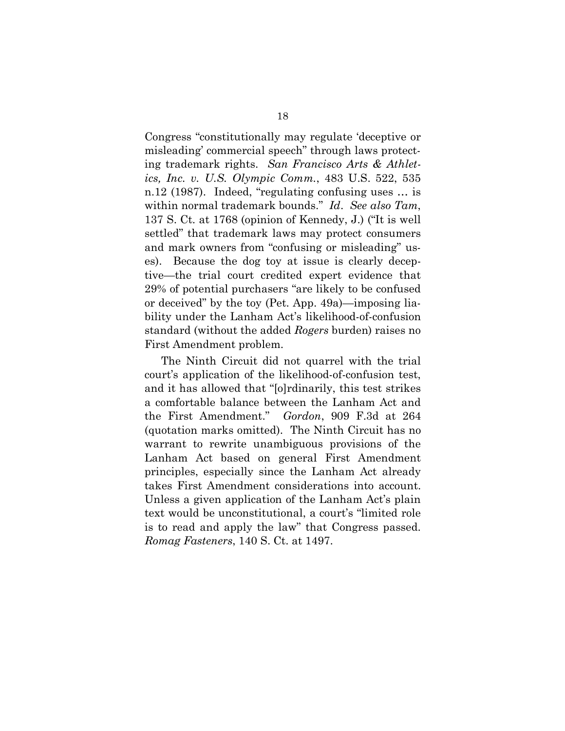Congress "constitutionally may regulate 'deceptive or misleading' commercial speech" through laws protecting trademark rights. *San Francisco Arts & Athletics, Inc. v. U.S. Olympic Comm.*, 483 U.S. 522, 535 n.12 (1987). Indeed, "regulating confusing uses … is within normal trademark bounds." *Id*. *See also Tam*, 137 S. Ct. at 1768 (opinion of Kennedy, J.) ("It is well settled" that trademark laws may protect consumers and mark owners from "confusing or misleading" uses). Because the dog toy at issue is clearly deceptive—the trial court credited expert evidence that 29% of potential purchasers "are likely to be confused or deceived" by the toy (Pet. App. 49a)—imposing liability under the Lanham Act's likelihood-of-confusion standard (without the added *Rogers* burden) raises no First Amendment problem.

The Ninth Circuit did not quarrel with the trial court's application of the likelihood-of-confusion test, and it has allowed that "[o]rdinarily, this test strikes a comfortable balance between the Lanham Act and the First Amendment." *Gordon*, 909 F.3d at 264 (quotation marks omitted). The Ninth Circuit has no warrant to rewrite unambiguous provisions of the Lanham Act based on general First Amendment principles, especially since the Lanham Act already takes First Amendment considerations into account. Unless a given application of the Lanham Act's plain text would be unconstitutional, a court's "limited role is to read and apply the law" that Congress passed. *Romag Fasteners*, 140 S. Ct. at 1497.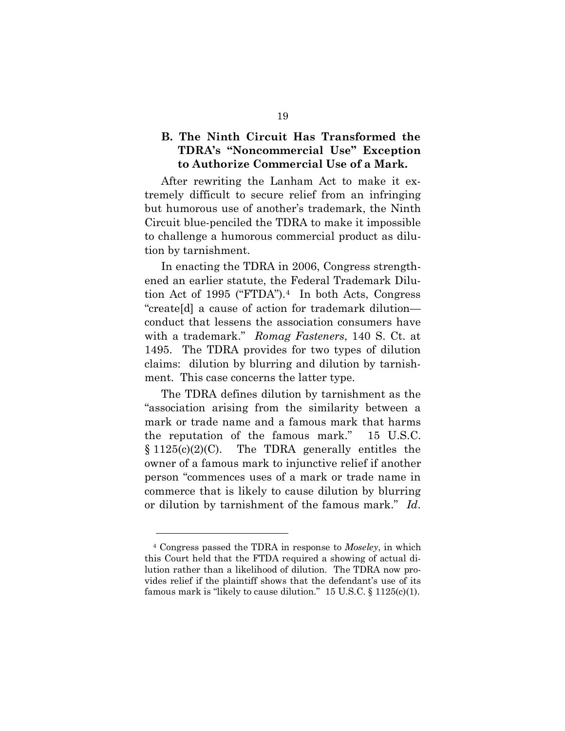### **B. The Ninth Circuit Has Transformed the TDRA's "Noncommercial Use" Exception to Authorize Commercial Use of a Mark.**

After rewriting the Lanham Act to make it extremely difficult to secure relief from an infringing but humorous use of another's trademark, the Ninth Circuit blue-penciled the TDRA to make it impossible to challenge a humorous commercial product as dilution by tarnishment.

In enacting the TDRA in 2006, Congress strengthened an earlier statute, the Federal Trademark Dilution Act of 1995 ("FTDA").4 In both Acts, Congress "create[d] a cause of action for trademark dilution conduct that lessens the association consumers have with a trademark." *Romag Fasteners*, 140 S. Ct. at 1495. The TDRA provides for two types of dilution claims: dilution by blurring and dilution by tarnishment. This case concerns the latter type.

The TDRA defines dilution by tarnishment as the "association arising from the similarity between a mark or trade name and a famous mark that harms the reputation of the famous mark." 15 U.S.C.  $§ 1125(c)(2)(C)$ . The TDRA generally entitles the owner of a famous mark to injunctive relief if another person "commences uses of a mark or trade name in commerce that is likely to cause dilution by blurring or dilution by tarnishment of the famous mark." *Id*.

<sup>4</sup> Congress passed the TDRA in response to *Moseley*, in which this Court held that the FTDA required a showing of actual dilution rather than a likelihood of dilution. The TDRA now provides relief if the plaintiff shows that the defendant's use of its famous mark is "likely to cause dilution." 15 U.S.C. § 1125(c)(1).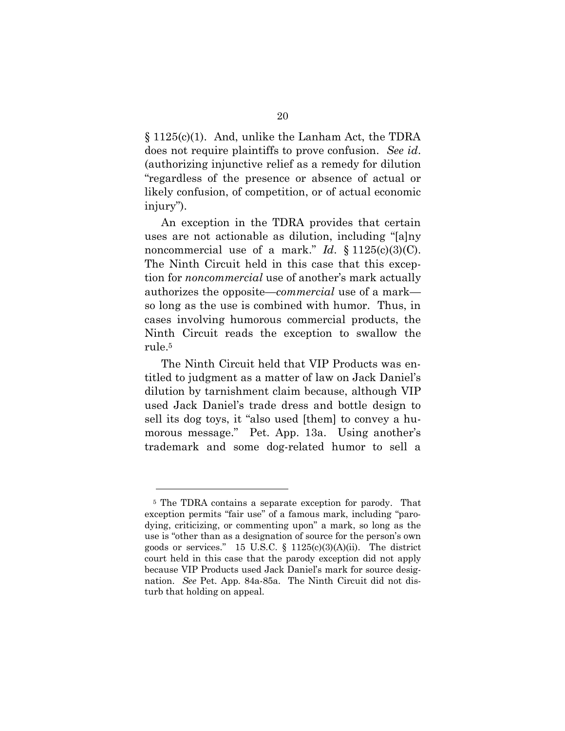§ 1125(c)(1). And, unlike the Lanham Act, the TDRA does not require plaintiffs to prove confusion. *See id*. (authorizing injunctive relief as a remedy for dilution "regardless of the presence or absence of actual or likely confusion, of competition, or of actual economic injury").

An exception in the TDRA provides that certain uses are not actionable as dilution, including "[a]ny noncommercial use of a mark." *Id.*  $\S 1125(c)(3)(C)$ . The Ninth Circuit held in this case that this exception for *noncommercial* use of another's mark actually authorizes the opposite—*commercial* use of a mark so long as the use is combined with humor. Thus, in cases involving humorous commercial products, the Ninth Circuit reads the exception to swallow the rule. 5

The Ninth Circuit held that VIP Products was entitled to judgment as a matter of law on Jack Daniel's dilution by tarnishment claim because, although VIP used Jack Daniel's trade dress and bottle design to sell its dog toys, it "also used [them] to convey a humorous message." Pet. App. 13a. Using another's trademark and some dog-related humor to sell a

<sup>5</sup> The TDRA contains a separate exception for parody. That exception permits "fair use" of a famous mark, including "parodying, criticizing, or commenting upon" a mark, so long as the use is "other than as a designation of source for the person's own goods or services." 15 U.S.C.  $\S$  1125(c)(3)(A)(ii). The district court held in this case that the parody exception did not apply because VIP Products used Jack Daniel's mark for source designation. *See* Pet. App. 84a-85a. The Ninth Circuit did not disturb that holding on appeal.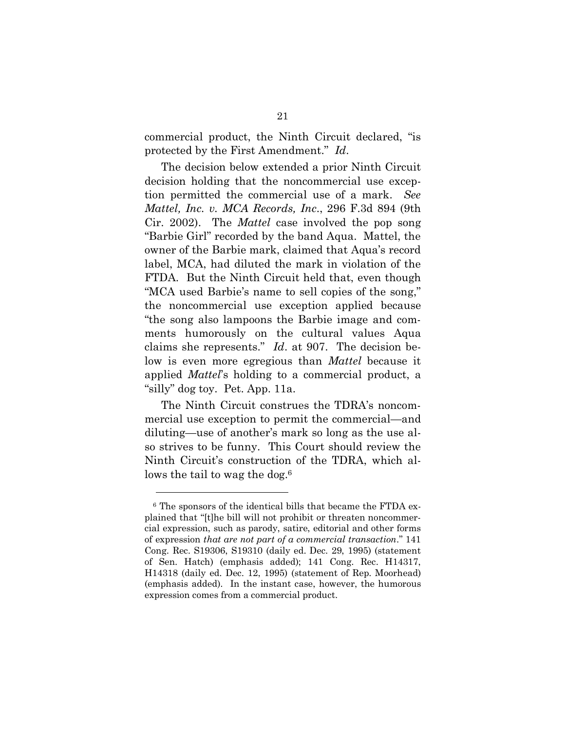commercial product, the Ninth Circuit declared, "is protected by the First Amendment." *Id*.

The decision below extended a prior Ninth Circuit decision holding that the noncommercial use exception permitted the commercial use of a mark. *See Mattel, Inc. v. MCA Records, Inc*., 296 F.3d 894 (9th Cir. 2002). The *Mattel* case involved the pop song "Barbie Girl" recorded by the band Aqua. Mattel, the owner of the Barbie mark, claimed that Aqua's record label, MCA, had diluted the mark in violation of the FTDA. But the Ninth Circuit held that, even though "MCA used Barbie's name to sell copies of the song," the noncommercial use exception applied because "the song also lampoons the Barbie image and comments humorously on the cultural values Aqua claims she represents." *Id*. at 907. The decision below is even more egregious than *Mattel* because it applied *Mattel*'s holding to a commercial product, a "silly" dog toy. Pet. App. 11a.

The Ninth Circuit construes the TDRA's noncommercial use exception to permit the commercial—and diluting—use of another's mark so long as the use also strives to be funny. This Court should review the Ninth Circuit's construction of the TDRA, which allows the tail to wag the dog.<sup>6</sup>

<sup>6</sup> The sponsors of the identical bills that became the FTDA explained that "[t]he bill will not prohibit or threaten noncommercial expression, such as parody, satire, editorial and other forms of expression *that are not part of a commercial transaction*." 141 Cong. Rec. S19306, S19310 (daily ed. Dec. 29, 1995) (statement of Sen. Hatch) (emphasis added); 141 Cong. Rec. H14317, H14318 (daily ed. Dec. 12, 1995) (statement of Rep. Moorhead) (emphasis added). In the instant case, however, the humorous expression comes from a commercial product.